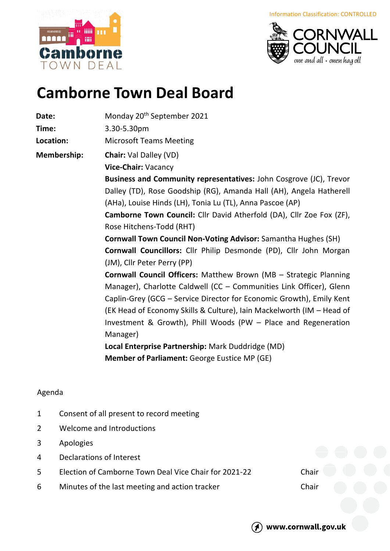iiiii łж <u>aaaaa</u> m Cam orne R OWN  $DFAI$ 





## **Camborne Town Deal Board**

| Date:       | Monday 20 <sup>th</sup> September 2021                                |
|-------------|-----------------------------------------------------------------------|
| Time:       | 3.30-5.30pm                                                           |
| Location:   | <b>Microsoft Teams Meeting</b>                                        |
| Membership: | <b>Chair: Val Dalley (VD)</b>                                         |
|             | Vice-Chair: Vacancy                                                   |
|             | Business and Community representatives: John Cosgrove (JC), Trevor    |
|             | Dalley (TD), Rose Goodship (RG), Amanda Hall (AH), Angela Hatherell   |
|             | (AHa), Louise Hinds (LH), Tonia Lu (TL), Anna Pascoe (AP)             |
|             | Camborne Town Council: Cllr David Atherfold (DA), Cllr Zoe Fox (ZF),  |
|             | Rose Hitchens-Todd (RHT)                                              |
|             | <b>Cornwall Town Council Non-Voting Advisor:</b> Samantha Hughes (SH) |
|             | Cornwall Councillors: Cllr Philip Desmonde (PD), Cllr John Morgan     |
|             | (JM), Cllr Peter Perry (PP)                                           |
|             | Cornwall Council Officers: Matthew Brown (MB - Strategic Planning     |
|             | Manager), Charlotte Caldwell (CC - Communities Link Officer), Glenn   |
|             | Caplin-Grey (GCG - Service Director for Economic Growth), Emily Kent  |
|             | (EK Head of Economy Skills & Culture), Iain Mackelworth (IM - Head of |
|             | Investment & Growth), Phill Woods (PW - Place and Regeneration        |
|             | Manager)                                                              |
|             | Local Enterprise Partnership: Mark Duddridge (MD)                     |
|             | <b>Member of Parliament: George Eustice MP (GE)</b>                   |
|             |                                                                       |

## Agenda

- 1 Consent of all present to record meeting
- 2 Welcome and Introductions
- 3 Apologies
- 4 Declarations of Interest
- 5 Election of Camborne Town Deal Vice Chair for 2021-22 Chair
- 6 Minutes of the last meeting and action tracker Chair